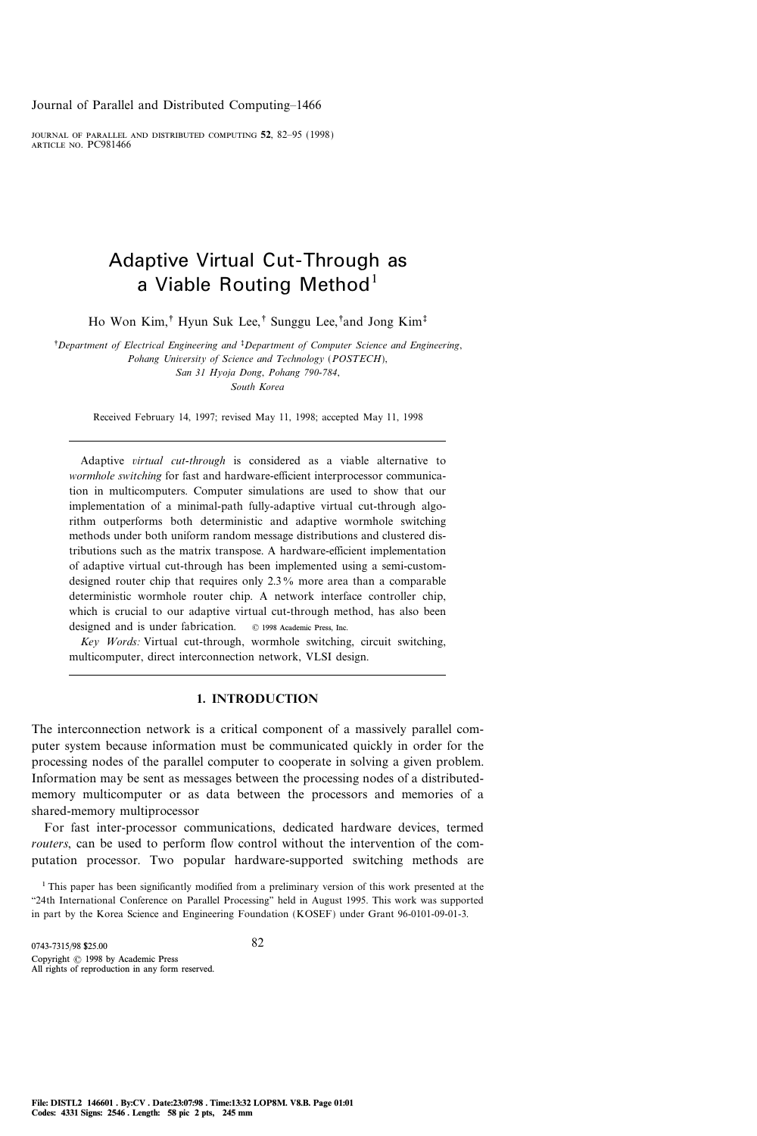# Adaptive Virtual Cut-Through as a Viable Routing Method<sup>1</sup>

Ho Won Kim,<sup>†</sup> Hyun Suk Lee,<sup>†</sup> Sunggu Lee,<sup>†</sup>and Jong Kim<sup>‡</sup>

<sup>†</sup>Department of Electrical Engineering and <sup>‡</sup>Department of Computer Science and Engineering, Pohang University of Science and Technology (POSTECH), San 31 Hyoja Dong, Pohang 790-784, South Korea

Received February 14, 1997; revised May 11, 1998; accepted May 11, 1998

Adaptive virtual cut-through is considered as a viable alternative to wormhole switching for fast and hardware-efficient interprocessor communication in multicomputers. Computer simulations are used to show that our implementation of a minimal-path fully-adaptive virtual cut-through algorithm outperforms both deterministic and adaptive wormhole switching methods under both uniform random message distributions and clustered distributions such as the matrix transpose. A hardware-efficient implementation of adaptive virtual cut-through has been implemented using a semi-customdesigned router chip that requires only 2.3% more area than a comparable deterministic wormhole router chip. A network interface controller chip, which is crucial to our adaptive virtual cut-through method, has also been designed and is under fabrication.  $\circ$  1998 Academic Press, Inc.

Key Words: Virtual cut-through, wormhole switching, circuit switching, multicomputer, direct interconnection network, VLSI design.

# 1. INTRODUCTION

The interconnection network is a critical component of a massively parallel computer system because information must be communicated quickly in order for the processing nodes of the parallel computer to cooperate in solving a given problem. Information may be sent as messages between the processing nodes of a distributedmemory multicomputer or as data between the processors and memories of a shared-memory multiprocessor

For fast inter-processor communications, dedicated hardware devices, termed routers, can be used to perform flow control without the intervention of the computation processor. Two popular hardware-supported switching methods are

<sup>1</sup> This paper has been significantly modified from a preliminary version of this work presented at the ``24th International Conference on Parallel Processing'' held in August 1995. This work was supported in part by the Korea Science and Engineering Foundation (KOSEF) under Grant 96-0101-09-01-3.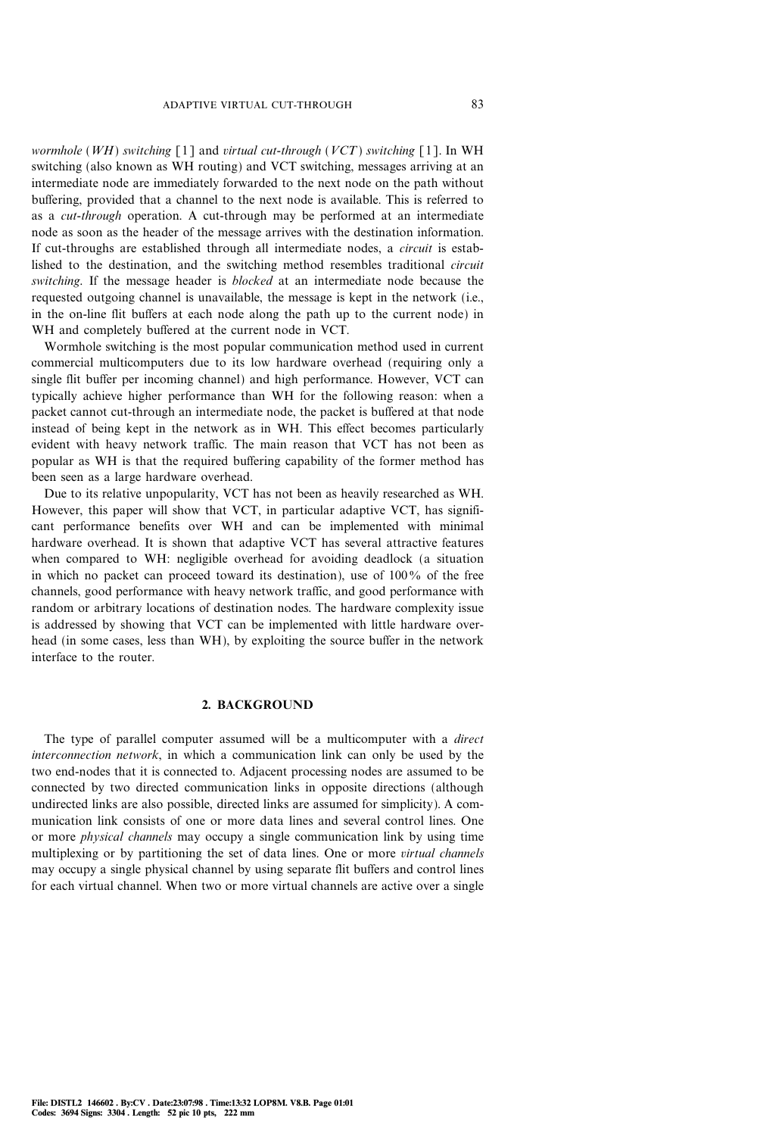wormhole (WH) switching  $\lceil 1 \rceil$  and virtual cut-through (VCT) switching  $\lceil 1 \rceil$ . In WH switching (also known as WH routing) and VCT switching, messages arriving at an intermediate node are immediately forwarded to the next node on the path without buffering, provided that a channel to the next node is available. This is referred to as a *cut-through* operation. A cut-through may be performed at an intermediate node as soon as the header of the message arrives with the destination information. If cut-throughs are established through all intermediate nodes, a circuit is established to the destination, and the switching method resembles traditional *circuit* switching. If the message header is blocked at an intermediate node because the requested outgoing channel is unavailable, the message is kept in the network (i.e., in the on-line flit buffers at each node along the path up to the current node) in WH and completely buffered at the current node in VCT.

Wormhole switching is the most popular communication method used in current commercial multicomputers due to its low hardware overhead (requiring only a single flit buffer per incoming channel) and high performance. However, VCT can typically achieve higher performance than WH for the following reason: when a packet cannot cut-through an intermediate node, the packet is buffered at that node instead of being kept in the network as in WH. This effect becomes particularly evident with heavy network traffic. The main reason that VCT has not been as popular as WH is that the required buffering capability of the former method has been seen as a large hardware overhead.

Due to its relative unpopularity, VCT has not been as heavily researched as WH. However, this paper will show that VCT, in particular adaptive VCT, has significant performance benefits over WH and can be implemented with minimal hardware overhead. It is shown that adaptive VCT has several attractive features when compared to WH: negligible overhead for avoiding deadlock (a situation in which no packet can proceed toward its destination), use of  $100\%$  of the free channels, good performance with heavy network traffic, and good performance with random or arbitrary locations of destination nodes. The hardware complexity issue is addressed by showing that VCT can be implemented with little hardware overhead (in some cases, less than WH), by exploiting the source buffer in the network interface to the router.

#### 2. BACKGROUND

The type of parallel computer assumed will be a multicomputer with a *direct* interconnection network, in which a communication link can only be used by the two end-nodes that it is connected to. Adjacent processing nodes are assumed to be connected by two directed communication links in opposite directions (although undirected links are also possible, directed links are assumed for simplicity). A communication link consists of one or more data lines and several control lines. One or more physical channels may occupy a single communication link by using time multiplexing or by partitioning the set of data lines. One or more *virtual channels* may occupy a single physical channel by using separate flit buffers and control lines for each virtual channel. When two or more virtual channels are active over a single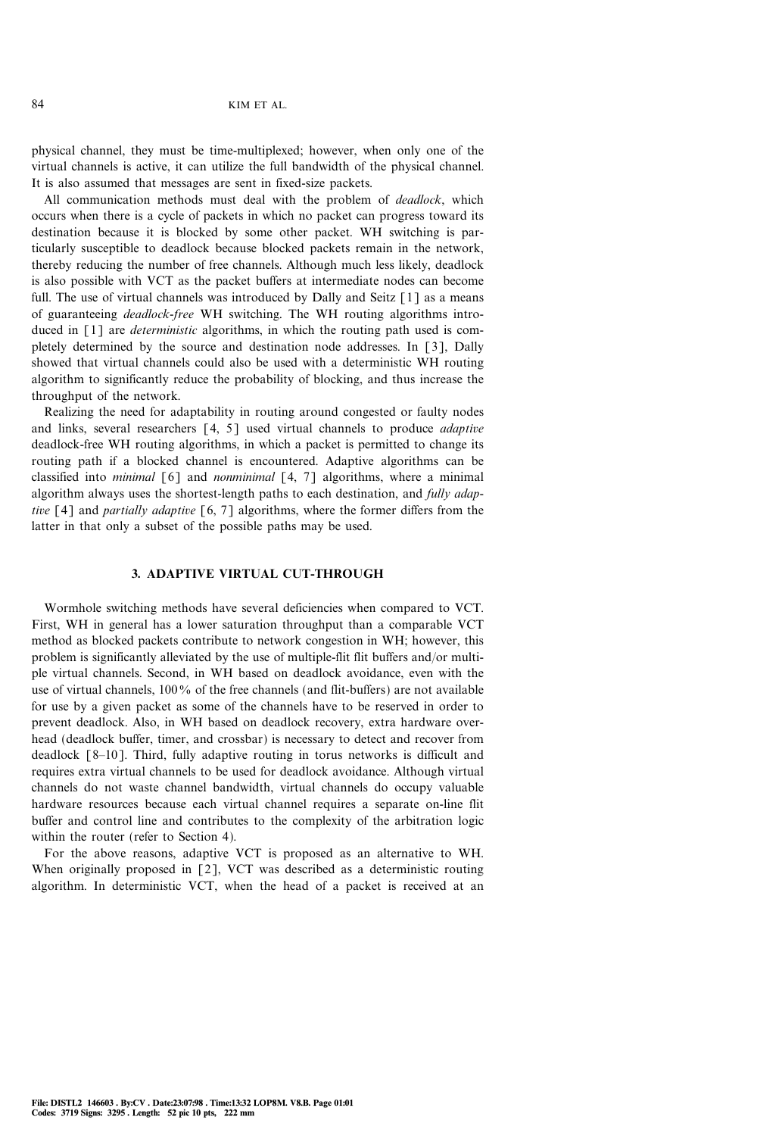physical channel, they must be time-multiplexed; however, when only one of the virtual channels is active, it can utilize the full bandwidth of the physical channel. It is also assumed that messages are sent in fixed-size packets.

All communication methods must deal with the problem of *deadlock*, which occurs when there is a cycle of packets in which no packet can progress toward its destination because it is blocked by some other packet. WH switching is particularly susceptible to deadlock because blocked packets remain in the network, thereby reducing the number of free channels. Although much less likely, deadlock is also possible with VCT as the packet buffers at intermediate nodes can become full. The use of virtual channels was introduced by Dally and Seitz [1] as a means of guaranteeing *deadlock-free* WH switching. The WH routing algorithms introduced in  $\lceil 1 \rceil$  are *deterministic* algorithms, in which the routing path used is completely determined by the source and destination node addresses. In [3], Dally showed that virtual channels could also be used with a deterministic WH routing algorithm to significantly reduce the probability of blocking, and thus increase the throughput of the network.

Realizing the need for adaptability in routing around congested or faulty nodes and links, several researchers [4, 5] used virtual channels to produce *adaptive* deadlock-free WH routing algorithms, in which a packet is permitted to change its routing path if a blocked channel is encountered. Adaptive algorithms can be classified into *minimal*  $[6]$  and *nonminimal*  $[4, 7]$  algorithms, where a minimal algorithm always uses the shortest-length paths to each destination, and *fully adap*tive  $[4]$  and *partially adaptive*  $[6, 7]$  algorithms, where the former differs from the latter in that only a subset of the possible paths may be used.

# 3. ADAPTIVE VIRTUAL CUT-THROUGH

Wormhole switching methods have several deficiencies when compared to VCT. First, WH in general has a lower saturation throughput than a comparable VCT method as blocked packets contribute to network congestion in WH; however, this problem is significantly alleviated by the use of multiple-flit flit buffers and/or multiple virtual channels. Second, in WH based on deadlock avoidance, even with the use of virtual channels, 100% of the free channels (and flit-buffers) are not available for use by a given packet as some of the channels have to be reserved in order to prevent deadlock. Also, in WH based on deadlock recovery, extra hardware overhead (deadlock buffer, timer, and crossbar) is necessary to detect and recover from deadlock  $[8-10]$ . Third, fully adaptive routing in torus networks is difficult and requires extra virtual channels to be used for deadlock avoidance. Although virtual channels do not waste channel bandwidth, virtual channels do occupy valuable hardware resources because each virtual channel requires a separate on-line flit buffer and control line and contributes to the complexity of the arbitration logic within the router (refer to Section 4).

For the above reasons, adaptive VCT is proposed as an alternative to WH. When originally proposed in [2], VCT was described as a deterministic routing algorithm. In deterministic VCT, when the head of a packet is received at an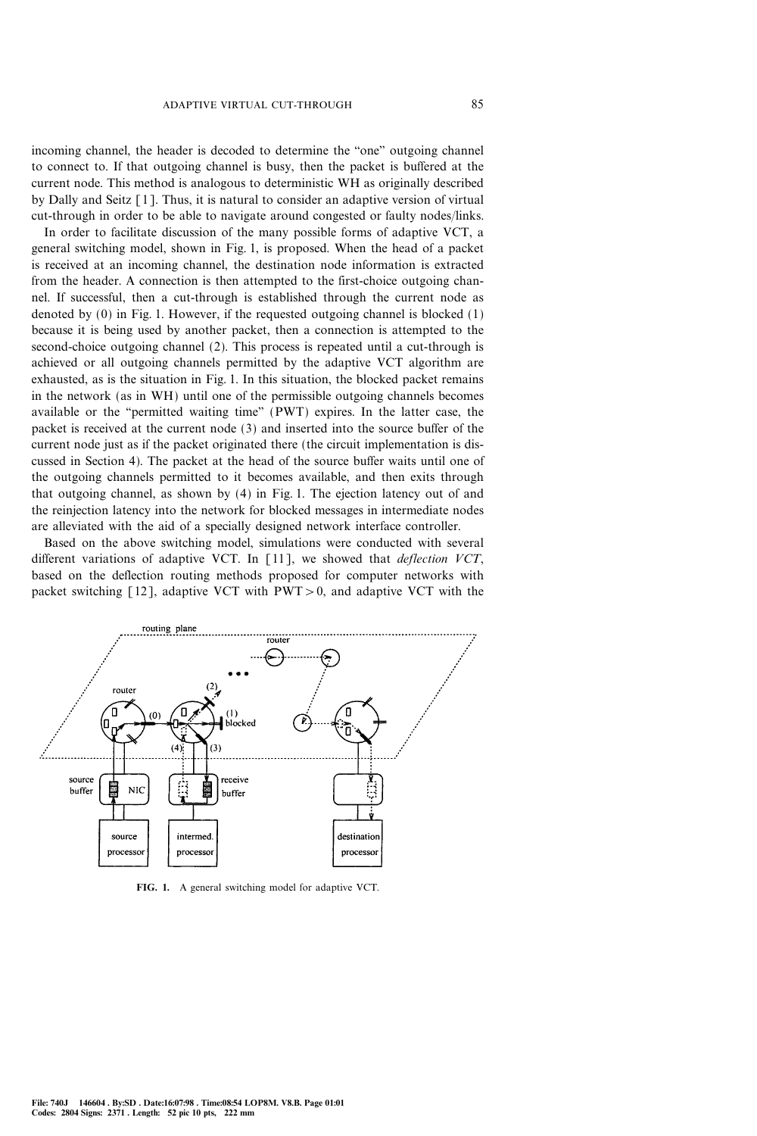incoming channel, the header is decoded to determine the "one" outgoing channel to connect to. If that outgoing channel is busy, then the packet is buffered at the current node. This method is analogous to deterministic WH as originally described by Dally and Seitz [1]. Thus, it is natural to consider an adaptive version of virtual cut-through in order to be able to navigate around congested or faulty nodes/links.

In order to facilitate discussion of the many possible forms of adaptive VCT, a general switching model, shown in Fig. 1, is proposed. When the head of a packet is received at an incoming channel, the destination node information is extracted from the header. A connection is then attempted to the first-choice outgoing channel. If successful, then a cut-through is established through the current node as denoted by (0) in Fig. 1. However, if the requested outgoing channel is blocked (1) because it is being used by another packet, then a connection is attempted to the second-choice outgoing channel (2). This process is repeated until a cut-through is achieved or all outgoing channels permitted by the adaptive VCT algorithm are exhausted, as is the situation in Fig. 1. In this situation, the blocked packet remains in the network (as in WH) until one of the permissible outgoing channels becomes available or the "permitted waiting time" (PWT) expires. In the latter case, the packet is received at the current node (3) and inserted into the source buffer of the current node just as if the packet originated there (the circuit implementation is discussed in Section 4). The packet at the head of the source buffer waits until one of the outgoing channels permitted to it becomes available, and then exits through that outgoing channel, as shown by (4) in Fig. 1. The ejection latency out of and the reinjection latency into the network for blocked messages in intermediate nodes are alleviated with the aid of a specially designed network interface controller.

Based on the above switching model, simulations were conducted with several different variations of adaptive VCT. In [11], we showed that *deflection VCT*, based on the deflection routing methods proposed for computer networks with packet switching  $[12]$ , adaptive VCT with PWT  $> 0$ , and adaptive VCT with the



FIG. 1. A general switching model for adaptive VCT.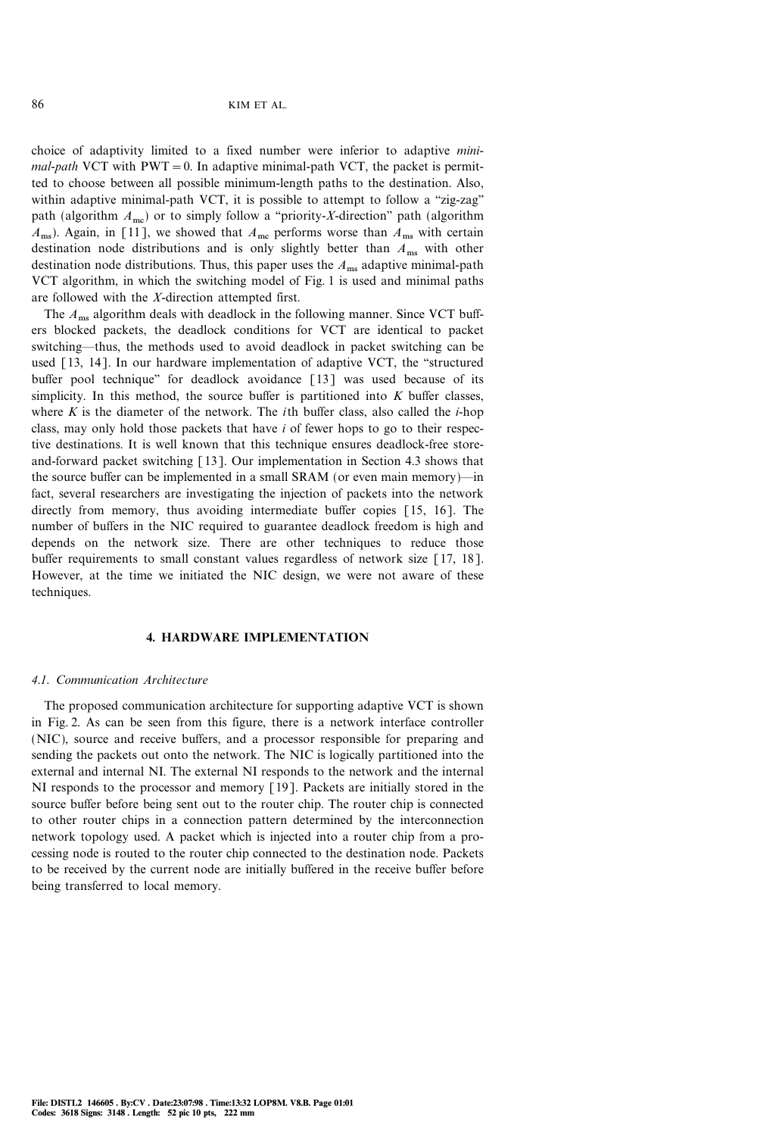choice of adaptivity limited to a fixed number were inferior to adaptive minimal-path VCT with  $PWT = 0$ . In adaptive minimal-path VCT, the packet is permitted to choose between all possible minimum-length paths to the destination. Also, within adaptive minimal-path VCT, it is possible to attempt to follow a "zig-zag" path (algorithm  $A_{\text{mc}}$ ) or to simply follow a "priority-X-direction" path (algorithm  $A_{\text{ms}}$ ). Again, in [11], we showed that  $A_{\text{mc}}$  performs worse than  $A_{\text{ms}}$  with certain destination node distributions and is only slightly better than  $A_{\text{ms}}$  with other destination node distributions. Thus, this paper uses the  $A_{\text{ms}}$  adaptive minimal-path VCT algorithm, in which the switching model of Fig. 1 is used and minimal paths are followed with the X-direction attempted first.

The  $A_{\text{ms}}$  algorithm deals with deadlock in the following manner. Since VCT buffers blocked packets, the deadlock conditions for VCT are identical to packet switching—thus, the methods used to avoid deadlock in packet switching can be used  $[13, 14]$ . In our hardware implementation of adaptive VCT, the "structured buffer pool technique'' for deadlock avoidance [13] was used because of its simplicity. In this method, the source buffer is partitioned into  $K$  buffer classes, where K is the diameter of the network. The *i*th buffer class, also called the *i*-hop class, may only hold those packets that have *i* of fewer hops to go to their respective destinations. It is well known that this technique ensures deadlock-free storeand-forward packet switching [13]. Our implementation in Section 4.3 shows that the source buffer can be implemented in a small  $SRAM$  (or even main memory)—in fact, several researchers are investigating the injection of packets into the network directly from memory, thus avoiding intermediate buffer copies [15, 16]. The number of buffers in the NIC required to guarantee deadlock freedom is high and depends on the network size. There are other techniques to reduce those buffer requirements to small constant values regardless of network size [17, 18]. However, at the time we initiated the NIC design, we were not aware of these techniques.

### 4. HARDWARE IMPLEMENTATION

#### 4.1. Communication Architecture

The proposed communication architecture for supporting adaptive VCT is shown in Fig. 2. As can be seen from this figure, there is a network interface controller (NIC), source and receive buffers, and a processor responsible for preparing and sending the packets out onto the network. The NIC is logically partitioned into the external and internal NI. The external NI responds to the network and the internal NI responds to the processor and memory [19]. Packets are initially stored in the source buffer before being sent out to the router chip. The router chip is connected to other router chips in a connection pattern determined by the interconnection network topology used. A packet which is injected into a router chip from a processing node is routed to the router chip connected to the destination node. Packets to be received by the current node are initially buffered in the receive buffer before being transferred to local memory.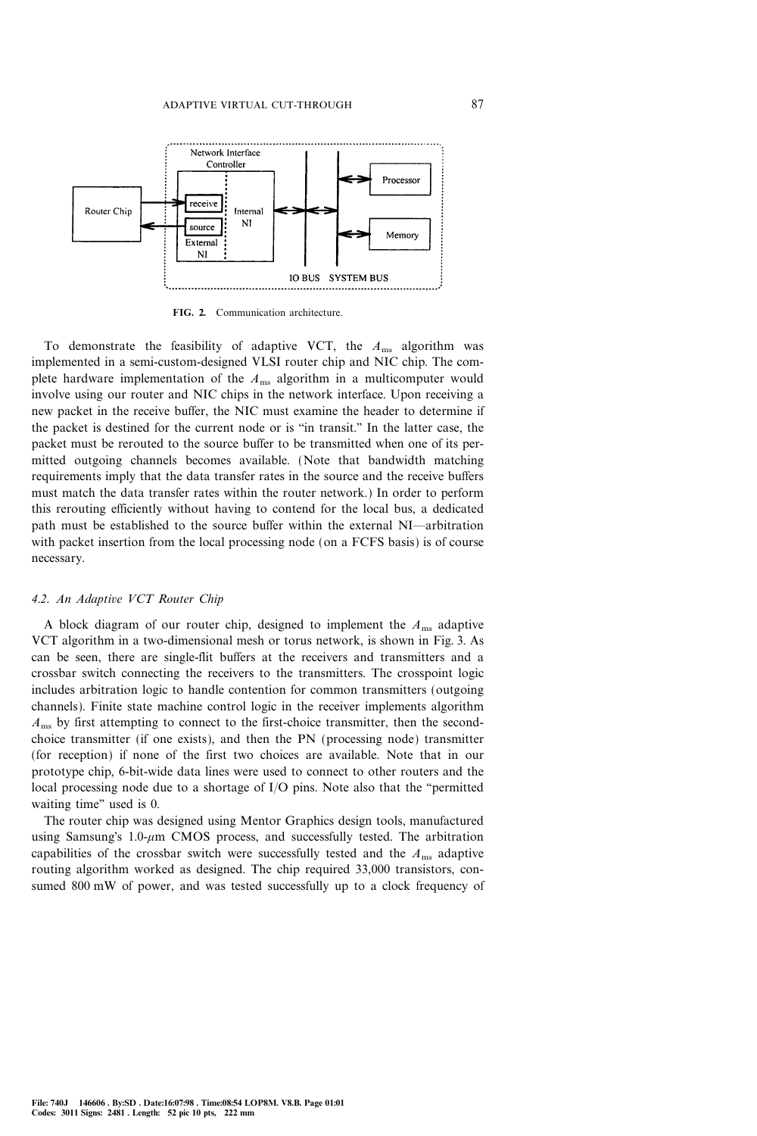

FIG. 2. Communication architecture.

To demonstrate the feasibility of adaptive VCT, the  $A_{\text{ms}}$  algorithm was implemented in a semi-custom-designed VLSI router chip and NIC chip. The complete hardware implementation of the  $A_{\text{ms}}$  algorithm in a multicomputer would involve using our router and NIC chips in the network interface. Upon receiving a new packet in the receive buffer, the NIC must examine the header to determine if the packet is destined for the current node or is "in transit." In the latter case, the packet must be rerouted to the source buffer to be transmitted when one of its permitted outgoing channels becomes available. (Note that bandwidth matching requirements imply that the data transfer rates in the source and the receive buffers must match the data transfer rates within the router network.) In order to perform this rerouting efficiently without having to contend for the local bus, a dedicated path must be established to the source buffer within the external NI—arbitration with packet insertion from the local processing node (on a FCFS basis) is of course necessary.

### 4.2. An Adaptive VCT Router Chip

A block diagram of our router chip, designed to implement the  $A_{\text{ms}}$  adaptive VCT algorithm in a two-dimensional mesh or torus network, is shown in Fig. 3. As can be seen, there are single-flit buffers at the receivers and transmitters and a crossbar switch connecting the receivers to the transmitters. The crosspoint logic includes arbitration logic to handle contention for common transmitters (outgoing channels). Finite state machine control logic in the receiver implements algorithm  $A<sub>ms</sub>$  by first attempting to connect to the first-choice transmitter, then the secondchoice transmitter (if one exists), and then the PN (processing node) transmitter (for reception) if none of the first two choices are available. Note that in our prototype chip, 6-bit-wide data lines were used to connect to other routers and the local processing node due to a shortage of  $I/O$  pins. Note also that the "permitted waiting time'' used is 0.

The router chip was designed using Mentor Graphics design tools, manufactured using Samsung's 1.0- $\mu$ m CMOS process, and successfully tested. The arbitration capabilities of the crossbar switch were successfully tested and the  $A_{\text{ms}}$  adaptive routing algorithm worked as designed. The chip required 33,000 transistors, consumed 800 mW of power, and was tested successfully up to a clock frequency of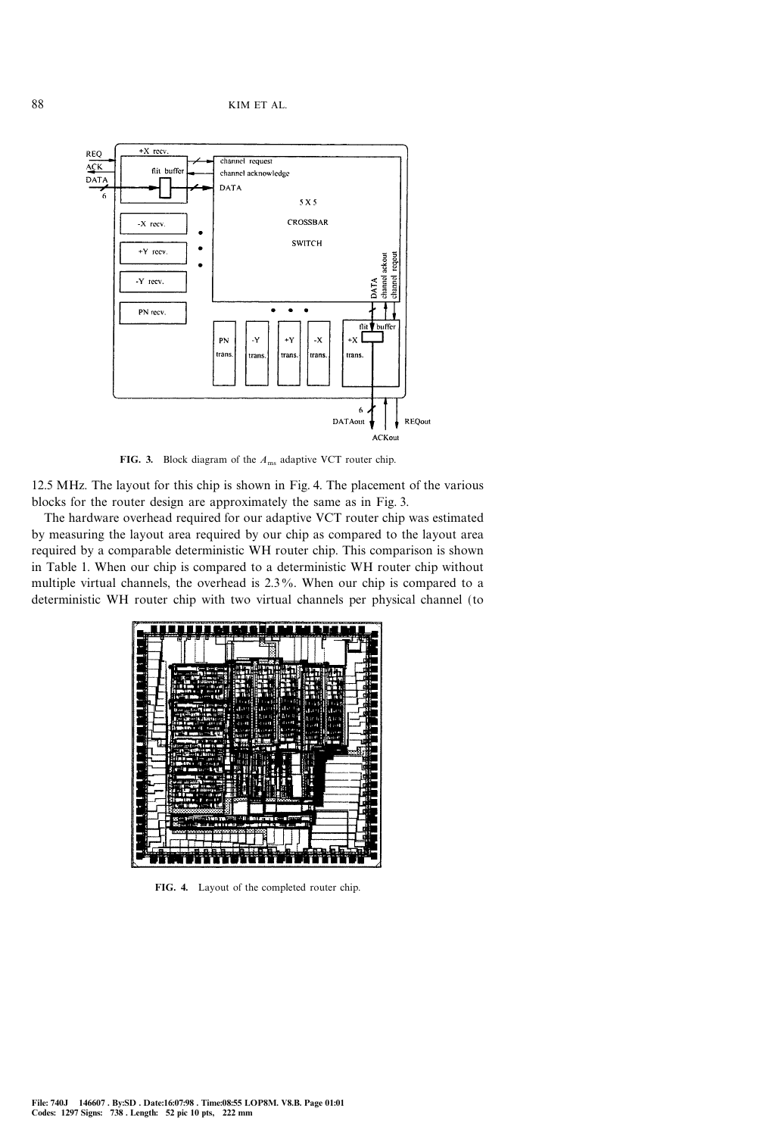

FIG. 3. Block diagram of the  $A_{\text{ms}}$  adaptive VCT router chip.

12.5 MHz. The layout for this chip is shown in Fig. 4. The placement of the various blocks for the router design are approximately the same as in Fig. 3.

The hardware overhead required for our adaptive VCT router chip was estimated by measuring the layout area required by our chip as compared to the layout area required by a comparable deterministic WH router chip. This comparison is shown in Table 1. When our chip is compared to a deterministic WH router chip without multiple virtual channels, the overhead is  $2.3\%$ . When our chip is compared to a deterministic WH router chip with two virtual channels per physical channel (to



FIG. 4. Layout of the completed router chip.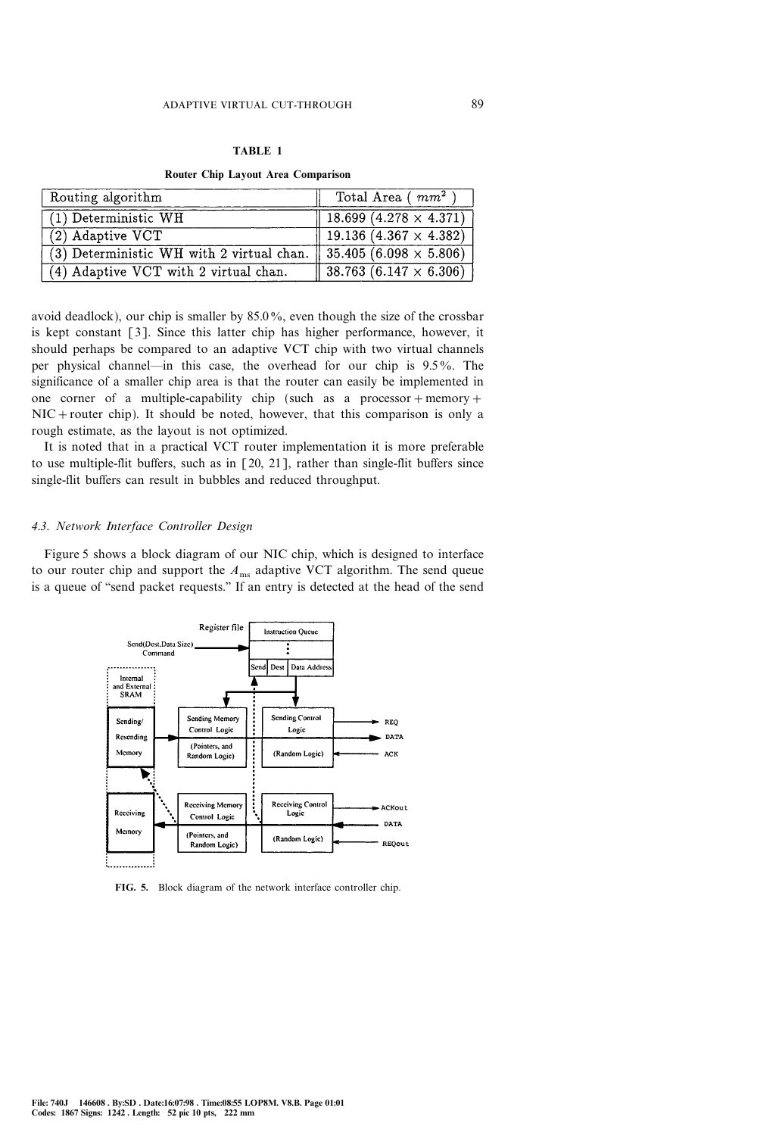#### TABLE 1

| Routing algorithm                                     | Total Area $(mm^2)$                       |
|-------------------------------------------------------|-------------------------------------------|
| $(1)$ Deterministic WH                                | $18.699(4.278 \times 4.371)$              |
| $(2)$ Adaptive VCT                                    | $19.136 (4.367 \times 4.382)$             |
| (3) Deterministic WH with 2 virtual chan. $\parallel$ | $35.405(6.098 \times 5.806)$              |
| (4) Adaptive VCT with 2 virtual chan.                 | $\parallel$ 38.763 (6.147 $\times$ 6.306) |

Router Chip Layout Area Comparison

avoid deadlock), our chip is smaller by  $85.0\%$ , even though the size of the crossbar is kept constant [3]. Since this latter chip has higher performance, however, it should perhaps be compared to an adaptive VCT chip with two virtual channels per physical channel—in this case, the overhead for our chip is 9.5%. The significance of a smaller chip area is that the router can easily be implemented in one corner of a multiple-capability chip (such as a processor+memory+  $NIC + router chip)$ . It should be noted, however, that this comparison is only a rough estimate, as the layout is not optimized.

It is noted that in a practical VCT router implementation it is more preferable to use multiple-flit buffers, such as in  $[20, 21]$ , rather than single-flit buffers since single-flit buffers can result in bubbles and reduced throughput.

# 4.3. Network Interface Controller Design

Figure 5 shows a block diagram of our NIC chip, which is designed to interface to our router chip and support the  $A_{\text{ms}}$  adaptive VCT algorithm. The send queue is a queue of "send packet requests." If an entry is detected at the head of the send



FIG. 5. Block diagram of the network interface controller chip.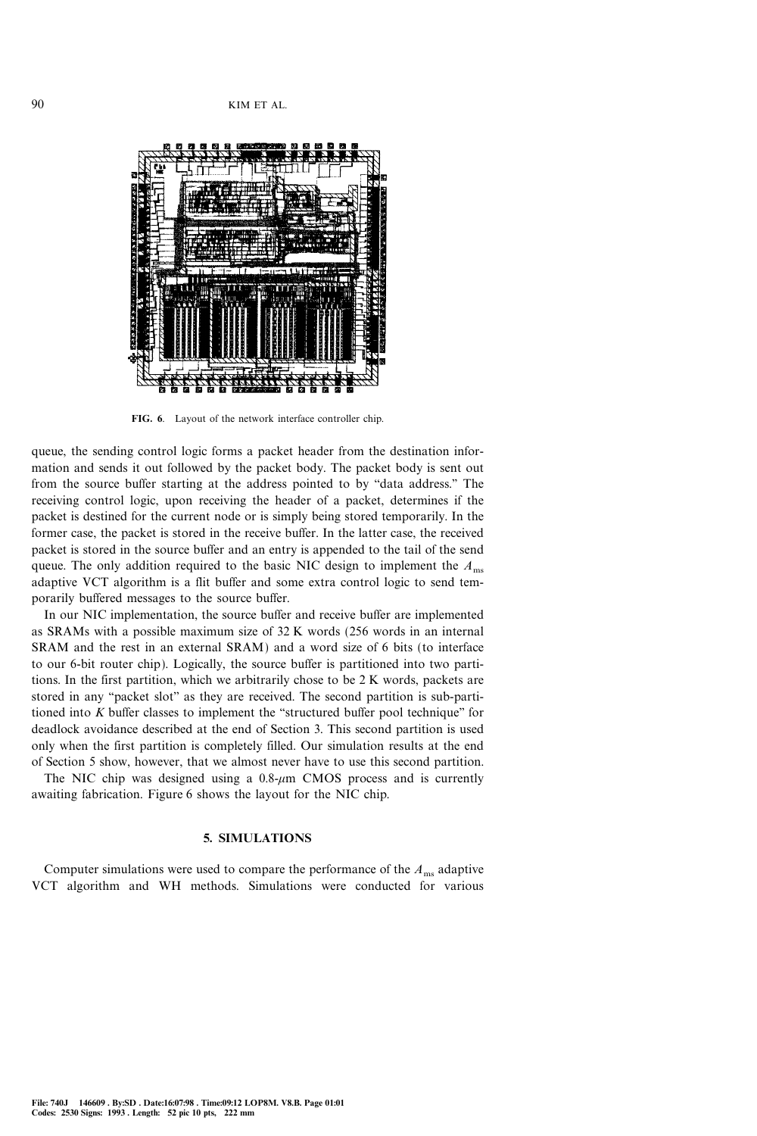

FIG. 6. Layout of the network interface controller chip.

queue, the sending control logic forms a packet header from the destination information and sends it out followed by the packet body. The packet body is sent out from the source buffer starting at the address pointed to by "data address." The receiving control logic, upon receiving the header of a packet, determines if the packet is destined for the current node or is simply being stored temporarily. In the former case, the packet is stored in the receive buffer. In the latter case, the received packet is stored in the source buffer and an entry is appended to the tail of the send queue. The only addition required to the basic NIC design to implement the  $A_{\text{ms}}$ adaptive VCT algorithm is a flit buffer and some extra control logic to send temporarily buffered messages to the source buffer.

In our NIC implementation, the source buffer and receive buffer are implemented as SRAMs with a possible maximum size of 32 K words (256 words in an internal SRAM and the rest in an external SRAM) and a word size of 6 bits (to interface to our 6-bit router chip). Logically, the source buffer is partitioned into two partitions. In the first partition, which we arbitrarily chose to be 2 K words, packets are stored in any "packet slot" as they are received. The second partition is sub-partitioned into  $K$  buffer classes to implement the "structured buffer pool technique" for deadlock avoidance described at the end of Section 3. This second partition is used only when the first partition is completely filled. Our simulation results at the end of Section 5 show, however, that we almost never have to use this second partition.

The NIC chip was designed using a  $0.8-\mu m$  CMOS process and is currently awaiting fabrication. Figure 6 shows the layout for the NIC chip.

#### 5. SIMULATIONS

Computer simulations were used to compare the performance of the  $A_{\text{ms}}$  adaptive VCT algorithm and WH methods. Simulations were conducted for various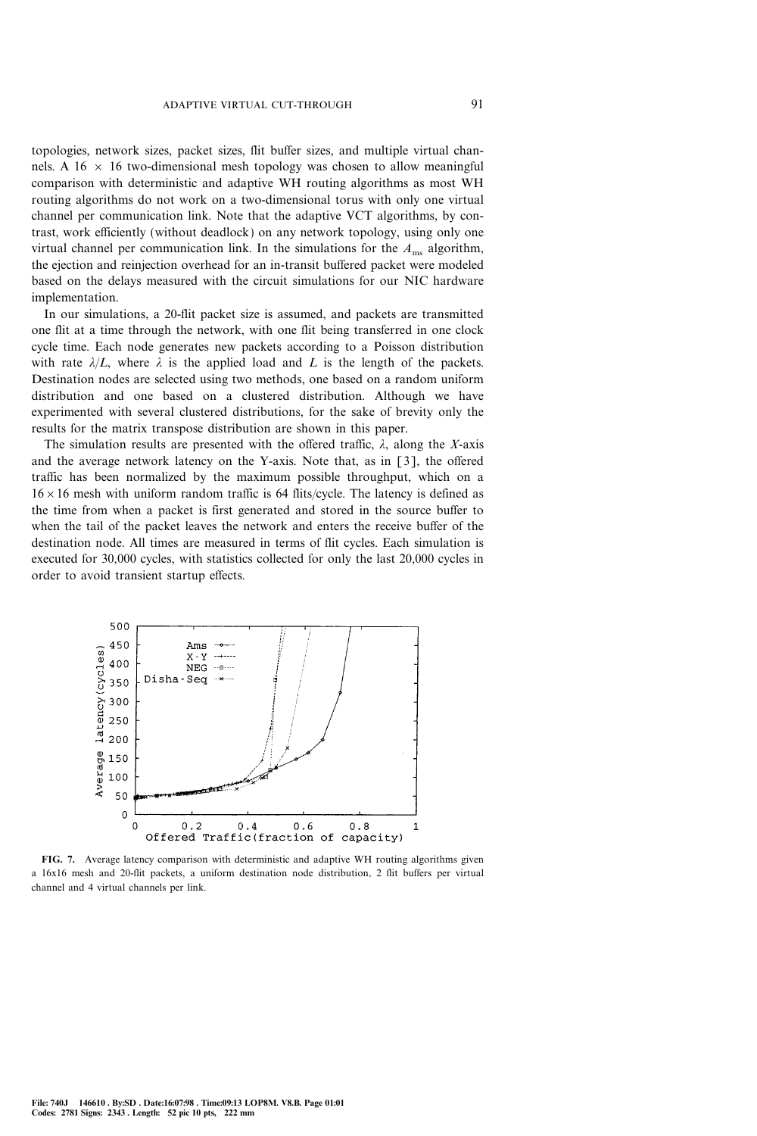topologies, network sizes, packet sizes, flit buffer sizes, and multiple virtual channels. A 16  $\times$  16 two-dimensional mesh topology was chosen to allow meaningful comparison with deterministic and adaptive WH routing algorithms as most WH routing algorithms do not work on a two-dimensional torus with only one virtual channel per communication link. Note that the adaptive VCT algorithms, by contrast, work efficiently (without deadlock) on any network topology, using only one virtual channel per communication link. In the simulations for the  $A_{\text{ms}}$  algorithm, the ejection and reinjection overhead for an in-transit buffered packet were modeled based on the delays measured with the circuit simulations for our NIC hardware implementation.

In our simulations, a 20-flit packet size is assumed, and packets are transmitted one flit at a time through the network, with one flit being transferred in one clock cycle time. Each node generates new packets according to a Poisson distribution with rate  $\lambda/L$ , where  $\lambda$  is the applied load and L is the length of the packets. Destination nodes are selected using two methods, one based on a random uniform distribution and one based on a clustered distribution. Although we have experimented with several clustered distributions, for the sake of brevity only the results for the matrix transpose distribution are shown in this paper.

The simulation results are presented with the offered traffic,  $\lambda$ , along the X-axis and the average network latency on the Y-axis. Note that, as in [3], the offered traffic has been normalized by the maximum possible throughput, which on a  $16 \times 16$  mesh with uniform random traffic is 64 flits/cycle. The latency is defined as the time from when a packet is first generated and stored in the source buffer to when the tail of the packet leaves the network and enters the receive buffer of the destination node. All times are measured in terms of flit cycles. Each simulation is executed for 30,000 cycles, with statistics collected for only the last 20,000 cycles in order to avoid transient startup effects.



FIG. 7. Average latency comparison with deterministic and adaptive WH routing algorithms given a 16x16 mesh and 20-flit packets, a uniform destination node distribution, 2 flit buffers per virtual channel and 4 virtual channels per link.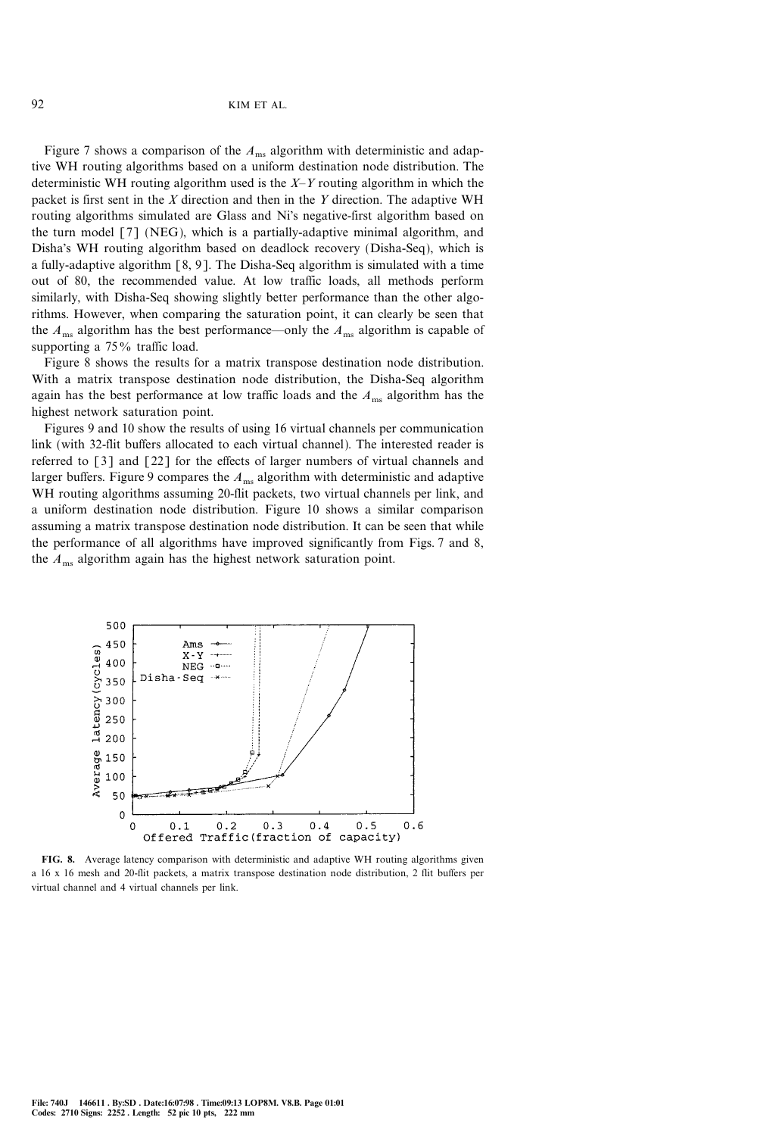Figure 7 shows a comparison of the  $A_{\text{ms}}$  algorithm with deterministic and adaptive WH routing algorithms based on a uniform destination node distribution. The deterministic WH routing algorithm used is the  $X-Y$  routing algorithm in which the packet is first sent in the X direction and then in the Y direction. The adaptive WH routing algorithms simulated are Glass and Ni's negative-first algorithm based on the turn model [7] (NEG), which is a partially-adaptive minimal algorithm, and Disha's WH routing algorithm based on deadlock recovery (Disha-Seq), which is a fully-adaptive algorithm [8, 9]. The Disha-Seq algorithm is simulated with a time out of 80, the recommended value. At low traffic loads, all methods perform similarly, with Disha-Seq showing slightly better performance than the other algorithms. However, when comparing the saturation point, it can clearly be seen that the  $A_{\text{ms}}$  algorithm has the best performance—only the  $A_{\text{ms}}$  algorithm is capable of supporting a  $75%$  traffic load.

Figure 8 shows the results for a matrix transpose destination node distribution. With a matrix transpose destination node distribution, the Disha-Seq algorithm again has the best performance at low traffic loads and the  $A_{\text{ms}}$  algorithm has the highest network saturation point.

Figures 9 and 10 show the results of using 16 virtual channels per communication link (with 32-flit buffers allocated to each virtual channel). The interested reader is referred to [3] and [22] for the effects of larger numbers of virtual channels and larger buffers. Figure 9 compares the  $A_{\text{ms}}$  algorithm with deterministic and adaptive WH routing algorithms assuming 20-flit packets, two virtual channels per link, and a uniform destination node distribution. Figure 10 shows a similar comparison assuming a matrix transpose destination node distribution. It can be seen that while the performance of all algorithms have improved significantly from Figs. 7 and 8, the  $A_{\text{ms}}$  algorithm again has the highest network saturation point.



FIG. 8. Average latency comparison with deterministic and adaptive WH routing algorithms given a 16 x 16 mesh and 20-flit packets, a matrix transpose destination node distribution, 2 flit buffers per virtual channel and 4 virtual channels per link.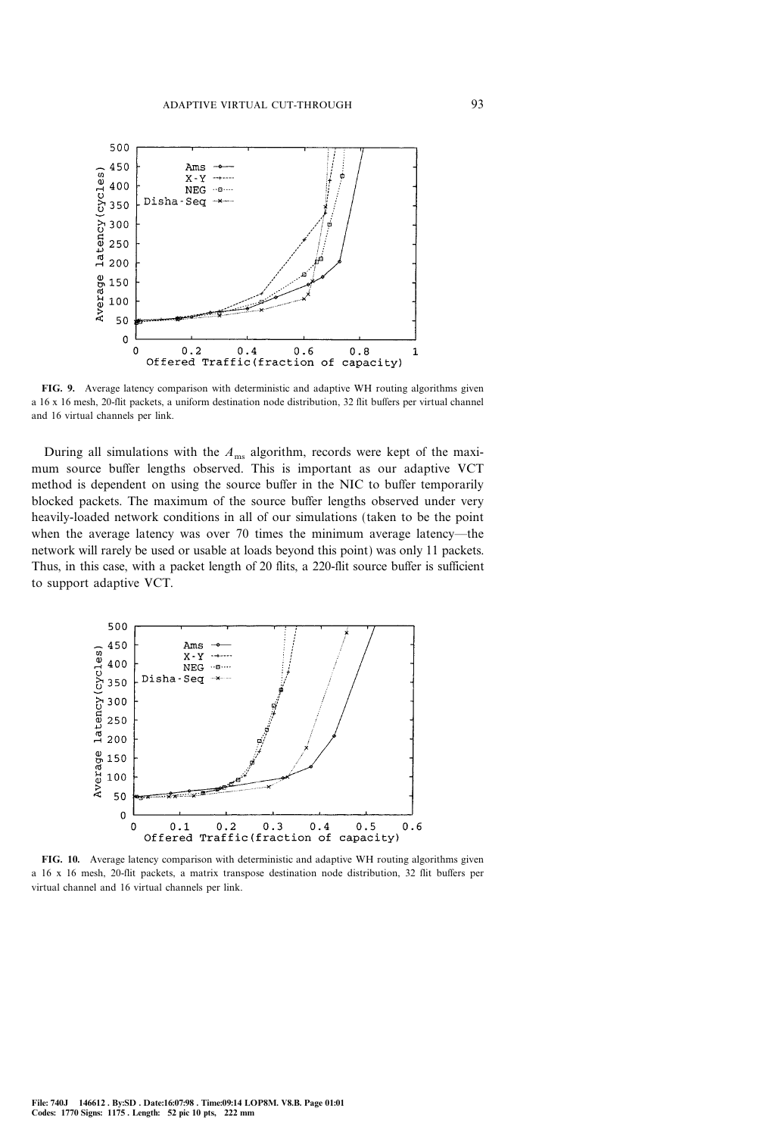

FIG. 9. Average latency comparison with deterministic and adaptive WH routing algorithms given a 16 x 16 mesh, 20-flit packets, a uniform destination node distribution, 32 flit buffers per virtual channel and 16 virtual channels per link.

During all simulations with the  $A_{\text{ms}}$  algorithm, records were kept of the maximum source buffer lengths observed. This is important as our adaptive VCT method is dependent on using the source buffer in the NIC to buffer temporarily blocked packets. The maximum of the source buffer lengths observed under very heavily-loaded network conditions in all of our simulations (taken to be the point when the average latency was over  $70$  times the minimum average latency—the network will rarely be used or usable at loads beyond this point) was only 11 packets. Thus, in this case, with a packet length of 20 flits, a 220-flit source buffer is sufficient to support adaptive VCT.



FIG. 10. Average latency comparison with deterministic and adaptive WH routing algorithms given a 16 x 16 mesh, 20-flit packets, a matrix transpose destination node distribution, 32 flit buffers per virtual channel and 16 virtual channels per link.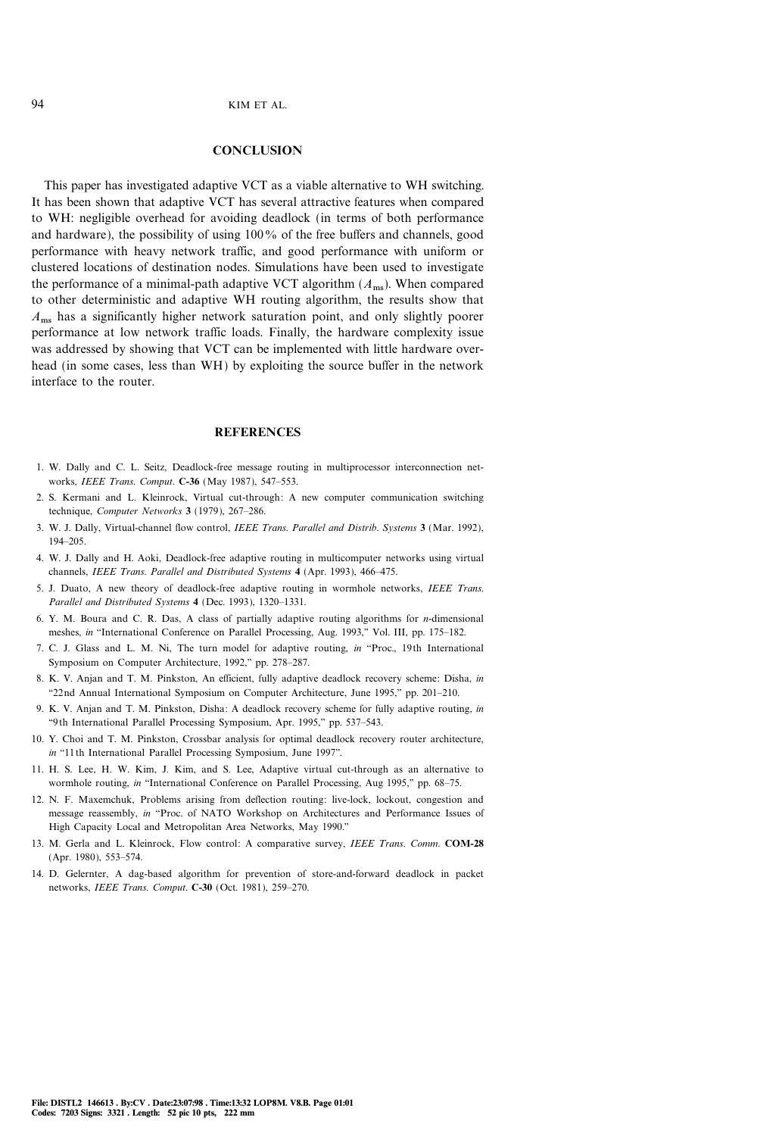#### **CONCLUSION**

This paper has investigated adaptive VCT as a viable alternative to WH switching. It has been shown that adaptive VCT has several attractive features when compared to WH: negligible overhead for avoiding deadlock (in terms of both performance and hardware), the possibility of using  $100\%$  of the free buffers and channels, good performance with heavy network traffic, and good performance with uniform or clustered locations of destination nodes. Simulations have been used to investigate the performance of a minimal-path adaptive VCT algorithm  $(A_{\text{ms}})$ . When compared to other deterministic and adaptive WH routing algorithm, the results show that  $A_{\text{ms}}$  has a significantly higher network saturation point, and only slightly poorer performance at low network traffic loads. Finally, the hardware complexity issue was addressed by showing that VCT can be implemented with little hardware overhead (in some cases, less than WH) by exploiting the source buffer in the network interface to the router.

#### **REFERENCES**

- 1. W. Dally and C. L. Seitz, Deadlock-free message routing in multiprocessor interconnection networks, IEEE Trans. Comput. C-36 (May 1987), 547-553.
- 2. S. Kermani and L. Kleinrock, Virtual cut-through: A new computer communication switching technique, Computer Networks 3 (1979), 267-286.
- 3. W. J. Dally, Virtual-channel flow control, IEEE Trans. Parallel and Distrib. Systems 3 (Mar. 1992), 194-205.
- 4. W. J. Dally and H. Aoki, Deadlock-free adaptive routing in multicomputer networks using virtual channels, IEEE Trans. Parallel and Distributed Systems 4 (Apr. 1993), 466-475.
- 5. J. Duato, A new theory of deadlock-free adaptive routing in wormhole networks, IEEE Trans. Parallel and Distributed Systems 4 (Dec. 1993), 1320-1331.
- 6. Y. M. Boura and C. R. Das, A class of partially adaptive routing algorithms for n-dimensional meshes, in "International Conference on Parallel Processing, Aug. 1993," Vol. III, pp. 175–182.
- 7. C. J. Glass and L. M. Ni, The turn model for adaptive routing, in "Proc., 19th International Symposium on Computer Architecture, 1992," pp. 278-287.
- 8. K. V. Anjan and T. M. Pinkston, An efficient, fully adaptive deadlock recovery scheme: Disha, in "22nd Annual International Symposium on Computer Architecture, June 1995," pp. 201-210.
- 9. K. V. Anjan and T. M. Pinkston, Disha: A deadlock recovery scheme for fully adaptive routing, in "9th International Parallel Processing Symposium, Apr. 1995," pp. 537-543.
- 10. Y. Choi and T. M. Pinkston, Crossbar analysis for optimal deadlock recovery router architecture, in "11th International Parallel Processing Symposium, June 1997".
- 11. H. S. Lee, H. W. Kim, J. Kim, and S. Lee, Adaptive virtual cut-through as an alternative to wormhole routing, in "International Conference on Parallel Processing, Aug 1995," pp. 68–75.
- 12. N. F. Maxemchuk, Problems arising from deflection routing: live-lock, lockout, congestion and message reassembly, in "Proc. of NATO Workshop on Architectures and Performance Issues of High Capacity Local and Metropolitan Area Networks, May 1990.''
- 13. M. Gerla and L. Kleinrock, Flow control: A comparative survey, IEEE Trans. Comm. COM-28 (Apr. 1980), 553-574.
- 14. D. Gelernter, A dag-based algorithm for prevention of store-and-forward deadlock in packet networks, IEEE Trans. Comput. C-30 (Oct. 1981), 259-270.